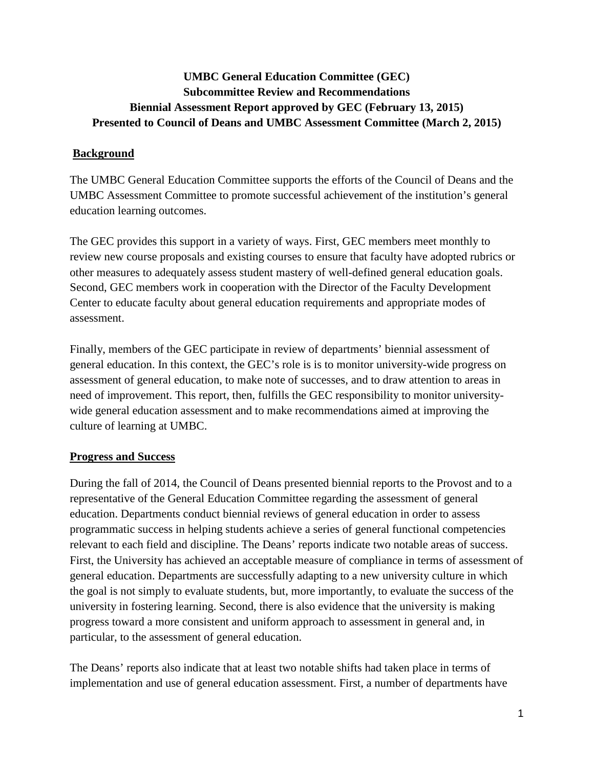# **UMBC General Education Committee (GEC) Subcommittee Review and Recommendations Biennial Assessment Report approved by GEC (February 13, 2015) Presented to Council of Deans and UMBC Assessment Committee (March 2, 2015)**

### **Background**

The UMBC General Education Committee supports the efforts of the Council of Deans and the UMBC Assessment Committee to promote successful achievement of the institution's general education learning outcomes.

The GEC provides this support in a variety of ways. First, GEC members meet monthly to review new course proposals and existing courses to ensure that faculty have adopted rubrics or other measures to adequately assess student mastery of well-defined general education goals. Second, GEC members work in cooperation with the Director of the Faculty Development Center to educate faculty about general education requirements and appropriate modes of assessment.

Finally, members of the GEC participate in review of departments' biennial assessment of general education. In this context, the GEC's role is is to monitor university-wide progress on assessment of general education, to make note of successes, and to draw attention to areas in need of improvement. This report, then, fulfills the GEC responsibility to monitor universitywide general education assessment and to make recommendations aimed at improving the culture of learning at UMBC.

#### **Progress and Success**

During the fall of 2014, the Council of Deans presented biennial reports to the Provost and to a representative of the General Education Committee regarding the assessment of general education. Departments conduct biennial reviews of general education in order to assess programmatic success in helping students achieve a series of general functional competencies relevant to each field and discipline. The Deans' reports indicate two notable areas of success. First, the University has achieved an acceptable measure of compliance in terms of assessment of general education. Departments are successfully adapting to a new university culture in which the goal is not simply to evaluate students, but, more importantly, to evaluate the success of the university in fostering learning. Second, there is also evidence that the university is making progress toward a more consistent and uniform approach to assessment in general and, in particular, to the assessment of general education.

The Deans' reports also indicate that at least two notable shifts had taken place in terms of implementation and use of general education assessment. First, a number of departments have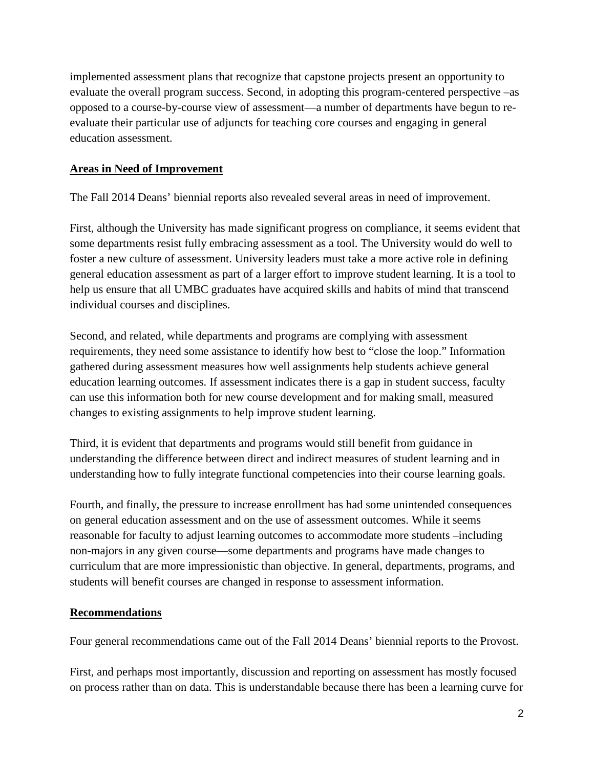implemented assessment plans that recognize that capstone projects present an opportunity to evaluate the overall program success. Second, in adopting this program-centered perspective –as opposed to a course-by-course view of assessment—a number of departments have begun to reevaluate their particular use of adjuncts for teaching core courses and engaging in general education assessment.

#### **Areas in Need of Improvement**

The Fall 2014 Deans' biennial reports also revealed several areas in need of improvement.

First, although the University has made significant progress on compliance, it seems evident that some departments resist fully embracing assessment as a tool. The University would do well to foster a new culture of assessment. University leaders must take a more active role in defining general education assessment as part of a larger effort to improve student learning. It is a tool to help us ensure that all UMBC graduates have acquired skills and habits of mind that transcend individual courses and disciplines.

Second, and related, while departments and programs are complying with assessment requirements, they need some assistance to identify how best to "close the loop." Information gathered during assessment measures how well assignments help students achieve general education learning outcomes. If assessment indicates there is a gap in student success, faculty can use this information both for new course development and for making small, measured changes to existing assignments to help improve student learning.

Third, it is evident that departments and programs would still benefit from guidance in understanding the difference between direct and indirect measures of student learning and in understanding how to fully integrate functional competencies into their course learning goals.

Fourth, and finally, the pressure to increase enrollment has had some unintended consequences on general education assessment and on the use of assessment outcomes. While it seems reasonable for faculty to adjust learning outcomes to accommodate more students –including non-majors in any given course—some departments and programs have made changes to curriculum that are more impressionistic than objective. In general, departments, programs, and students will benefit courses are changed in response to assessment information.

## **Recommendations**

Four general recommendations came out of the Fall 2014 Deans' biennial reports to the Provost.

First, and perhaps most importantly, discussion and reporting on assessment has mostly focused on process rather than on data. This is understandable because there has been a learning curve for